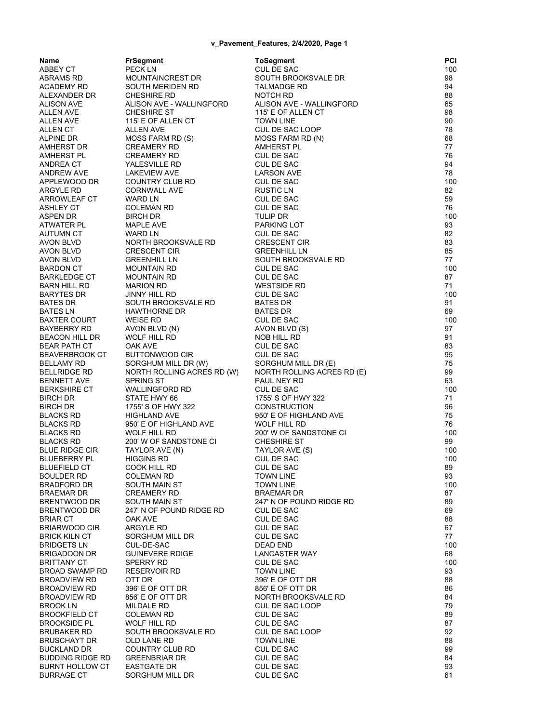| Name                           | <b>FrSegment</b>                           | <b>ToSegment</b>                              | P(       |
|--------------------------------|--------------------------------------------|-----------------------------------------------|----------|
| ABBEY CT                       | PECK LN                                    | <b>CUL DE SAC</b>                             | 10       |
| ABRAMS RD                      | MOUNTAINCREST DR                           | SOUTH BROOKSVALE DR                           | 98       |
| ACADEMY RD                     | SOUTH MERIDEN RD                           | TALMADGE RD                                   | 94       |
| ALEXANDER DR                   | <b>CHESHIRE RD</b>                         | NOTCH RD                                      | 88       |
| ALISON AVE                     | ALISON AVE - WALLINGFORD                   | ALISON AVE - WALLINGFORD                      | 65       |
| ALLEN AVE                      | <b>CHESHIRE ST</b>                         | 115' E OF ALLEN CT                            | 98       |
| ALLEN AVE                      | 115' E OF ALLEN CT                         | <b>TOWN LINE</b>                              | 90       |
| ALLEN CT                       | ALLEN AVE                                  | CUL DE SAC LOOP                               | 78       |
| ALPINE DR                      | MOSS FARM RD (S)                           | MOSS FARM RD (N)                              | 68       |
| AMHERST DR                     | <b>CREAMERY RD</b>                         | AMHERST PL                                    | 77       |
| AMHERST PL                     | CREAMERY RD                                | CUL DE SAC                                    | 76       |
| ANDREA CT                      | YALESVILLE RD                              | <b>CUL DE SAC</b>                             | 94       |
| ANDREW AVE                     | <b>LAKEVIEW AVE</b>                        | <b>LARSON AVE</b>                             | 78       |
| APPLEWOOD DR<br>ARGYLE RD      | COUNTRY CLUB RD<br><b>CORNWALL AVE</b>     | <b>CUL DE SAC</b><br><b>RUSTIC LN</b>         | 10<br>82 |
| ARROWLEAF CT                   | WARD LN                                    | CUL DE SAC                                    | 59       |
| ASHLEY CT                      | COLEMAN RD                                 | <b>CUL DE SAC</b>                             | 76       |
| ASPEN DR                       | <b>BIRCH DR</b>                            | <b>TULIP DR</b>                               | 10       |
| ATWATER PL                     | MAPLE AVE                                  | PARKING LOT                                   | 93       |
| AUTUMN CT                      | WARD LN                                    | CUL DE SAC                                    | 82       |
| AVON BLVD                      | NORTH BROOKSVALE RD                        | <b>CRESCENT CIR</b>                           | 83       |
| AVON BLVD                      | <b>CRESCENT CIR</b>                        | <b>GREENHILL LN</b>                           | 85       |
| AVON BLVD                      | <b>GREENHILL LN</b>                        | SOUTH BROOKSVALE RD                           | 77       |
| BARDON CT                      | <b>MOUNTAIN RD</b>                         | <b>CUL DE SAC</b>                             | 10       |
| BARKLEDGE CT                   | <b>MOUNTAIN RD</b>                         | CUL DE SAC                                    | 87       |
| BARN HILL RD                   | <b>MARION RD</b>                           | <b>WESTSIDE RD</b>                            | 71       |
| BARYTES DR                     | JINNY HILL RD                              | <b>CUL DE SAC</b>                             | 10       |
| BATES DR                       | SOUTH BROOKSVALE RD                        | <b>BATES DR</b>                               | 91       |
| <b>BATES LN</b>                | <b>HAWTHORNE DR</b>                        | <b>BATES DR</b>                               | 69       |
| <b>BAXTER COURT</b>            | <b>WEISE RD</b>                            | CUL DE SAC                                    | 10       |
| BAYBERRY RD                    | AVON BLVD (N)                              | AVON BLVD (S)                                 | 97       |
| BEACON HILL DR                 | WOLF HILL RD                               | NOB HILL RD                                   | 91       |
| BEAR PATH CT<br>BEAVERBROOK CT | OAK AVE<br><b>BUTTONWOOD CIR</b>           | <b>CUL DE SAC</b><br>CUL DE SAC               | 83<br>95 |
| BELLAMY RD                     | SORGHUM MILL DR (W)                        | SORGHUM MILL DR (E)                           | 75       |
| BELLRIDGE RD                   | NORTH ROLLING ACRES RD (W)                 | NORTH ROLLING ACRES RD (E)                    | 99       |
| <b>BENNETT AVE</b>             | <b>SPRING ST</b>                           | PAUL NEY RD                                   | 63       |
| BERKSHIRE CT                   | <b>WALLINGFORD RD</b>                      | CUL DE SAC                                    | 10       |
| BIRCH DR                       | STATE HWY 66                               | 1755' S OF HWY 322                            | 71       |
| BIRCH DR                       | 1755' S OF HWY 322                         | <b>CONSTRUCTION</b>                           | 96       |
| BLACKS RD                      | <b>HIGHLAND AVE</b>                        | 950' E OF HIGHLAND AVE                        | 75       |
| BLACKS RD                      | 950' E OF HIGHLAND AVE                     | WOLF HILL RD                                  | 76       |
| BLACKS RD                      | <b>WOLF HILL RD</b>                        | 200' W OF SANDSTONE CI                        | 10       |
| BLACKS RD                      | 200' W OF SANDSTONE CI                     | <b>CHESHIRE ST</b>                            | 99       |
| <b>BLUE RIDGE CIR</b>          | TAYLOR AVE (N)                             | TAYLOR AVE (S)                                | 10       |
| BLUEBERRY PL                   | <b>HIGGINS RD</b>                          | CUL DE SAC                                    | 10       |
| BLUEFIELD CT                   | COOK HILL RD                               | CUL DE SAC                                    | 89       |
| BOULDER RD                     | <b>COLEMAN RD</b>                          | <b>TOWN LINE</b>                              | 93       |
| BRADFORD DR                    | SOUTH MAIN ST                              | <b>TOWN LINE</b>                              | 10       |
| BRAEMAR DR<br>BRENTWOOD DR     | <b>CREAMERY RD</b><br><b>SOUTH MAIN ST</b> | <b>BRAEMAR DR</b><br>247' N OF POUND RIDGE RD | 87<br>89 |
| BRENTWOOD DR                   | 247' N OF POUND RIDGE RD                   | CUL DE SAC                                    | 69       |
| BRIAR CT                       | OAK AVE                                    | CUL DE SAC                                    | 88       |
| BRIARWOOD CIR                  | <b>ARGYLE RD</b>                           | CUL DE SAC                                    | 67       |
| BRICK KILN CT                  | SORGHUM MILL DR                            | <b>CUL DE SAC</b>                             | 77       |
| <b>BRIDGETS LN</b>             | CUL-DE-SAC                                 | <b>DEAD END</b>                               | 10       |
| BRIGADOON DR                   | <b>GUINEVERE RDIGE</b>                     | <b>LANCASTER WAY</b>                          | 68       |
| BRITTANY CT                    | <b>SPERRY RD</b>                           | <b>CUL DE SAC</b>                             | 10       |
| BROAD SWAMP RD                 | <b>RESERVOIR RD</b>                        | <b>TOWN LINE</b>                              | 93       |
| BROADVIEW RD                   | OTT DR                                     | 396' E OF OTT DR                              | 88       |
| BROADVIEW RD                   | 396' E OF OTT DR                           | 856' E OF OTT DR                              | 86       |
| <b>BROADVIEW RD</b>            | 856' E OF OTT DR                           | NORTH BROOKSVALE RD                           | 84       |
| BROOK LN                       | MILDALE RD                                 | CUL DE SAC LOOP                               | 79       |
| BROOKFIELD CT                  | <b>COLEMAN RD</b>                          | <b>CUL DE SAC</b>                             | 89       |
| BROOKSIDE PL                   | WOLF HILL RD                               | <b>CUL DE SAC</b>                             | 87       |
| BRUBAKER RD                    | SOUTH BROOKSVALE RD                        | CUL DE SAC LOOP                               | 92       |
| BRUSCHAYT DR<br>BUCKLAND DR    | OLD LANE RD<br>COUNTRY CLUB RD             | <b>TOWN LINE</b><br>CUL DE SAC                | 88<br>99 |
| BUDDING RIDGE RD               | <b>GREENBRIAR DR</b>                       | CUL DE SAC                                    | 84       |
| BURNT HOLLOW CT                | <b>EASTGATE DR</b>                         | CUL DE SAC                                    | 93       |
| BURRAGE CT                     | SORGHUM MILL DR                            | <b>CUL DE SAC</b>                             | 61       |
|                                |                                            |                                               |          |

| Name                                 | <b>FrSegment</b>                                  | <b>ToSegment</b>                               | PCI               |
|--------------------------------------|---------------------------------------------------|------------------------------------------------|-------------------|
| ABBEY CT                             | PECK LN                                           | <b>CUL DE SAC</b>                              | 100               |
| ABRAMS RD                            | MOUNTAINCREST DR                                  | SOUTH BROOKSVALE DR                            | 98                |
| ACADEMY RD                           | SOUTH MERIDEN RD                                  | <b>TALMADGE RD</b>                             | 94                |
| ALEXANDER DR                         | <b>CHESHIRE RD</b>                                | NOTCH RD                                       | 88                |
| ALISON AVE                           | ALISON AVE - WALLINGFORD<br><b>CHESHIRE ST</b>    | ALISON AVE - WALLINGFORD<br>115' E OF ALLEN CT | 65<br>98          |
| ALLEN AVE<br>ALLEN AVE               | 115' E OF ALLEN CT                                | <b>TOWN LINE</b>                               | 90                |
| ALLEN CT                             | ALLEN AVE                                         | CUL DE SAC LOOP                                | 78                |
| ALPINE DR                            | MOSS FARM RD (S)                                  | MOSS FARM RD (N)                               | 68                |
| AMHERST DR                           | <b>CREAMERY RD</b>                                | <b>AMHERST PL</b>                              | 77                |
| AMHERST PL                           | <b>CREAMERY RD</b>                                | CUL DE SAC                                     | 76                |
| ANDREA CT                            | YALESVILLE RD                                     | <b>CUL DE SAC</b>                              | 94                |
| ANDREW AVE                           | <b>LAKEVIEW AVE</b>                               | <b>LARSON AVE</b>                              | 78                |
| APPLEWOOD DR                         | COUNTRY CLUB RD                                   | <b>CUL DE SAC</b>                              | 100               |
| ARGYLE RD                            | <b>CORNWALL AVE</b>                               | <b>RUSTIC LN</b>                               | 82                |
| ARROWLEAF CT<br>ASHLEY CT            | WARD LN<br>COLEMAN RD                             | CUL DE SAC<br>CUL DE SAC                       | 59<br>76          |
| ASPEN DR                             | <b>BIRCH DR</b>                                   | TULIP DR                                       | 100               |
| ATWATER PL                           | MAPLE AVE                                         | PARKING LOT                                    | 93                |
| AUTUMN CT                            | <b>WARD LN</b>                                    | CUL DE SAC                                     | 82                |
| AVON BLVD                            | NORTH BROOKSVALE RD                               | <b>CRESCENT CIR</b>                            | 83                |
| AVON BLVD                            | <b>CRESCENT CIR</b>                               | <b>GREENHILL LN</b>                            | 85                |
| AVON BLVD                            | <b>GREENHILL LN</b>                               | SOUTH BROOKSVALE RD                            | 77                |
| BARDON CT                            | MOUNTAIN RD                                       | <b>CUL DE SAC</b>                              | 100               |
| BARKLEDGE CT<br>BARN HILL RD         | MOUNTAIN RD                                       | <b>CUL DE SAC</b>                              | 87<br>71          |
| BARYTES DR                           | <b>MARION RD</b><br>JINNY HILL RD                 | WESTSIDE RD<br>CUL DE SAC                      | 100               |
| <b>BATES DR</b>                      | SOUTH BROOKSVALE RD                               | <b>BATES DR</b>                                | 91                |
| BATES LN                             | <b>HAWTHORNE DR</b>                               | <b>BATES DR</b>                                | 69                |
| BAXTER COURT                         | <b>WEISE RD</b>                                   | CUL DE SAC                                     | 100               |
| BAYBERRY RD                          | AVON BLVD (N)                                     | AVON BLVD (S)                                  | 97                |
| BEACON HILL DR                       | WOLF HILL RD                                      | NOB HILL RD                                    | 91                |
| BEAR PATH CT                         | OAK AVE                                           | <b>CUL DE SAC</b>                              | 83                |
| BEAVERBROOK CT                       | <b>BUTTONWOOD CIR</b>                             | <b>CUL DE SAC</b><br>SORGHUM MILL DR (E)       | 95                |
| BELLAMY RD<br>BELLRIDGE RD           | SORGHUM MILL DR (W)<br>NORTH ROLLING ACRES RD (W) | NORTH ROLLING ACRES RD (E)                     | 75<br>99          |
| BENNETT AVE                          | <b>SPRING ST</b>                                  | PAUL NEY RD                                    | 63                |
| BERKSHIRE CT                         | <b>WALLINGFORD RD</b>                             | CUL DE SAC                                     | 100               |
| BIRCH DR                             | STATE HWY 66                                      | 1755' S OF HWY 322                             | 71                |
| BIRCH DR                             | 1755' S OF HWY 322                                | <b>CONSTRUCTION</b>                            | 96                |
| BLACKS RD                            | <b>HIGHLAND AVE</b>                               | 950' E OF HIGHLAND AVE                         | 75                |
| <b>BLACKS RD</b>                     | 950' E OF HIGHLAND AVE                            | WOLF HILL RD                                   | 76                |
| BLACKS RD<br><b>BLACKS RD</b>        | <b>WOLF HILL RD</b><br>200' W OF SANDSTONE CI     | 200' W OF SANDSTONE CI<br><b>CHESHIRE ST</b>   | 100<br>99         |
| BLUE RIDGE CIR                       | TAYLOR AVE (N)                                    | TAYLOR AVE (S)                                 | 100               |
| BLUEBERRY PL                         | <b>HIGGINS RD</b>                                 | <b>CUL DE SAC</b>                              | 100               |
| BLUEFIELD CT                         | COOK HILL RD                                      | <b>CUL DE SAC</b>                              | 89                |
| BOULDER RD                           | <b>COLEMAN RD</b>                                 | <b>TOWN LINE</b>                               | 93                |
| BRADFORD DR                          | SOUTH MAIN ST                                     | <b>TOWN LINE</b>                               | 100               |
| BRAEMAR DR                           | <b>CREAMERY RD</b>                                | <b>BRAEMAR DR</b>                              | 87                |
| BRENTWOOD DR                         | SOUTH MAIN ST                                     | 247' N OF POUND RIDGE RD                       | 89                |
| BRENTWOOD DR<br><b>BRIAR CT</b>      | 247' N OF POUND RIDGE RD<br>OAK AVE               | CUL DE SAC<br><b>CUL DE SAC</b>                | 69<br>88          |
| BRIARWOOD CIR                        | ARGYLE RD                                         | <b>CUL DE SAC</b>                              | 67                |
| BRICK KILN CT                        | SORGHUM MILL DR                                   | CUL DE SAC                                     | 77                |
| <b>BRIDGETS LN</b>                   | CUL-DE-SAC                                        | DEAD END                                       | 100               |
| BRIGADOON DR                         | <b>GUINEVERE RDIGE</b>                            | <b>LANCASTER WAY</b>                           | 68                |
| BRITTANY CT                          | <b>SPERRY RD</b>                                  | CUL DE SAC                                     | 100               |
| BROAD SWAMP RD                       | <b>RESERVOIR RD</b>                               | <b>TOWN LINE</b>                               | 93                |
| BROADVIEW RD                         | OTT DR                                            | 396' E OF OTT DR                               | 88                |
| BROADVIEW RD                         | 396' E OF OTT DR                                  | 856' E OF OTT DR                               | 86                |
| BROADVIEW RD<br>BROOK LN             | 856' E OF OTT DR<br><b>MILDALE RD</b>             | NORTH BROOKSVALE RD<br>CUL DE SAC LOOP         | 84<br>79          |
| BROOKFIELD CT                        | <b>COLEMAN RD</b>                                 | <b>CUL DE SAC</b>                              | 89                |
| BROOKSIDE PL                         | WOLF HILL RD                                      | <b>CUL DE SAC</b>                              | 87                |
| BRUBAKER RD                          | SOUTH BROOKSVALE RD                               | CUL DE SAC LOOP                                | 92                |
| BRUSCHAYT DR                         | OLD LANE RD                                       | <b>TOWN LINE</b>                               | 88                |
| BUCKLAND DR                          | COUNTRY CLUB RD                                   | <b>CUL DE SAC</b>                              | 99                |
| BUDDING RIDGE RD                     | <b>GREENBRIAR DR</b>                              | CUL DE SAC                                     | 84                |
| BURNT HOLLOW CT<br><b>DUDDACE CT</b> | <b>EASTGATE DR</b><br>CODOUIM MILL DD             | CUL DE SAC<br>$CIII$ DE $CAO$                  | 93<br>$\square$ 1 |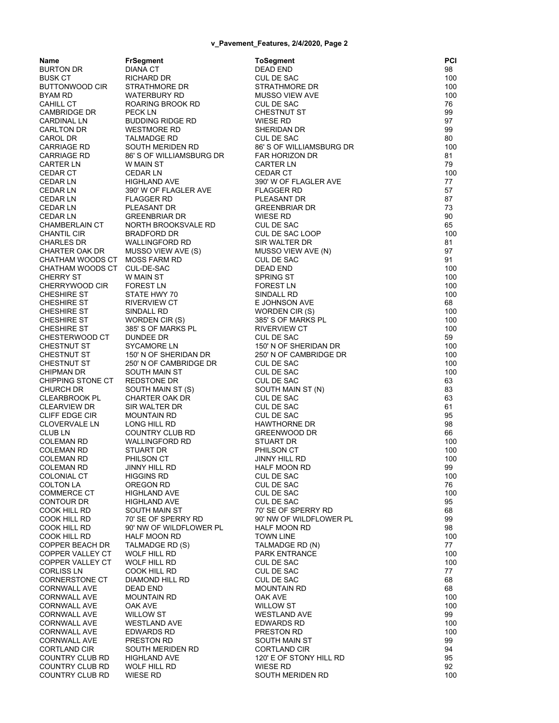| Name                            | <b>FrSegment</b>                       | <b>ToSegment</b>                         | PCI       |
|---------------------------------|----------------------------------------|------------------------------------------|-----------|
| BURTON DR                       | <b>DIANA CT</b>                        | DEAD END                                 | 98        |
| BUSK CT                         | RICHARD DR                             | CUL DE SAC                               | 100       |
| BUTTONWOOD CIR                  | STRATHMORE DR                          | STRATHMORE DR                            | 100       |
| BYAM RD                         | WATERBURY RD                           | MUSSO VIEW AVE                           | 100       |
| CAHILL CT<br>CAMBRIDGE DR       | ROARING BROOK RD<br>PECK LN            | CUL DE SAC<br><b>CHESTNUT ST</b>         | 76<br>99  |
| CARDINAL LN                     | <b>BUDDING RIDGE RD</b>                | <b>WIESE RD</b>                          | 97        |
| CARLTON DR                      | <b>WESTMORE RD</b>                     | SHERIDAN DR                              | 99        |
| CAROL DR                        | <b>TALMADGE RD</b>                     | <b>CUL DE SAC</b>                        | 80        |
| CARRIAGE RD                     | SOUTH MERIDEN RD                       | 86' S OF WILLIAMSBURG DR                 | 100       |
| CARRIAGE RD                     | 86' S OF WILLIAMSBURG DR               | <b>FAR HORIZON DR</b>                    | 81        |
| CARTER LN                       | W MAIN ST                              | <b>CARTER LN</b>                         | 79        |
| <b>CEDAR CT</b>                 | <b>CEDAR LN</b>                        | <b>CEDAR CT</b>                          | 100       |
| <b>CEDAR LN</b>                 | HIGHLAND AVE                           | 390' W OF FLAGLER AVE                    | 77        |
| CEDAR LN                        | 390' W OF FLAGLER AVE                  | <b>FLAGGER RD</b>                        | 57        |
| CEDAR LN                        | <b>FLAGGER RD</b>                      | PLEASANT DR                              | 87<br>73  |
| CEDAR LN<br>CEDAR LN            | PLEASANT DR<br><b>GREENBRIAR DR</b>    | <b>GREENBRIAR DR</b><br><b>WIESE RD</b>  | 90        |
| CHAMBERLAIN CT                  | NORTH BROOKSVALE RD                    | CUL DE SAC                               | 65        |
| CHANTIL CIR                     | <b>BRADFORD DR</b>                     | CUL DE SAC LOOP                          | 100       |
| CHARLES DR                      | <b>WALLINGFORD RD</b>                  | SIR WALTER DR                            | 81        |
| CHARTER OAK DR                  | MUSSO VIEW AVE (S)                     | MUSSO VIEW AVE (N)                       | 97        |
| CHATHAM WOODS CT MOSS FARM RD   |                                        | CUL DE SAC                               | 91        |
| CHATHAM WOODS CT CUL-DE-SAC     |                                        | <b>DEAD END</b>                          | 100       |
| CHERRY ST                       | W MAIN ST                              | <b>SPRING ST</b>                         | 100       |
| CHERRYWOOD CIR                  | <b>FOREST LN</b>                       | <b>FOREST LN</b>                         | 100       |
| CHESHIRE ST<br>CHESHIRE ST      | STATE HWY 70<br><b>RIVERVIEW CT</b>    | SINDALL RD<br>E JOHNSON AVE              | 100<br>68 |
| CHESHIRE ST                     | SINDALL RD                             | WORDEN CIR (S)                           | 100       |
| CHESHIRE ST                     | WORDEN CIR (S)                         | 385' S OF MARKS PL                       | 100       |
| CHESHIRE ST                     | 385'S OF MARKS PL                      | <b>RIVERVIEW CT</b>                      | 100       |
| CHESTERWOOD CT                  | <b>DUNDEE DR</b>                       | <b>CUL DE SAC</b>                        | 59        |
| CHESTNUT ST                     | SYCAMORE LN                            | 150' N OF SHERIDAN DR                    | 100       |
| CHESTNUT ST                     | 150' N OF SHERIDAN DR                  | 250' N OF CAMBRIDGE DR                   | 100       |
| CHESTNUT ST                     | 250' N OF CAMBRIDGE DR                 | <b>CUL DE SAC</b>                        | 100       |
| CHIPMAN DR<br>CHIPPING STONE CT | SOUTH MAIN ST<br><b>REDSTONE DR</b>    | CUL DE SAC<br>CUL DE SAC                 | 100<br>63 |
| CHURCH DR                       | SOUTH MAIN ST (S)                      | SOUTH MAIN ST (N)                        | 83        |
| CLEARBROOK PL                   | CHARTER OAK DR                         | CUL DE SAC                               | 63        |
| CLEARVIEW DR                    | SIR WALTER DR                          | <b>CUL DE SAC</b>                        | 61        |
| CLIFF EDGE CIR                  | MOUNTAIN RD                            | <b>CUL DE SAC</b>                        | 95        |
| <b>CLOVERVALE LN</b>            | LONG HILL RD                           | <b>HAWTHORNE DR</b>                      | 98        |
| CLUB LN                         | COUNTRY CLUB RD                        | <b>GREENWOOD DR</b>                      | 66        |
| COLEMAN RD                      | <b>WALLINGFORD RD</b>                  | STUART DR                                | 100       |
| COLEMAN RD                      | STUART DR                              | PHILSON CT                               | 100       |
| COLEMAN RD<br>COLEMAN RD        | PHILSON CT<br>JINNY HILL RD            | JINNY HILL RD<br>HALF MOON RD            | 100<br>99 |
| COLONIAL CT                     | HIGGINS RD                             | <b>CUL DE SAC</b>                        | 100       |
| <b>COLTON LA</b>                | OREGON RD                              | <b>CUL DE SAC</b>                        | 76        |
| COMMERCE CT                     | <b>HIGHLAND AVE</b>                    | <b>CUL DE SAC</b>                        | 100       |
| CONTOUR DR                      | HIGHLAND AVE                           | CUL DE SAC                               | 95        |
| COOK HILL RD                    | SOUTH MAIN ST                          | 70' SE OF SPERRY RD                      | 68        |
| COOK HILL RD                    | 70' SE OF SPERRY RD                    | 90' NW OF WILDFLOWER PL                  | 99        |
| COOK HILL RD                    | 90' NW OF WILDFLOWER PL                | <b>HALF MOON RD</b>                      | 98        |
| COOK HILL RD<br>COPPER BEACH DR | <b>HALF MOON RD</b><br>TALMADGE RD (S) | <b>TOWN LINE</b><br>TALMADGE RD (N)      | 100<br>77 |
| COPPER VALLEY CT                | <b>WOLF HILL RD</b>                    | <b>PARK ENTRANCE</b>                     | 100       |
| COPPER VALLEY CT                | WOLF HILL RD                           | <b>CUL DE SAC</b>                        | 100       |
| CORLISS LN                      | COOK HILL RD                           | CUL DE SAC                               | 77        |
| CORNERSTONE CT                  | <b>DIAMOND HILL RD</b>                 | <b>CUL DE SAC</b>                        | 68        |
| CORNWALL AVE                    | <b>DEAD END</b>                        | <b>MOUNTAIN RD</b>                       | 68        |
| CORNWALL AVE                    | <b>MOUNTAIN RD</b>                     | OAK AVE                                  | 100       |
| CORNWALL AVE                    | OAK AVE                                | <b>WILLOW ST</b>                         | 100       |
| CORNWALL AVE<br>CORNWALL AVE    | <b>WILLOW ST</b><br>WESTLAND AVE       | <b>WESTLAND AVE</b><br><b>EDWARDS RD</b> | 99<br>100 |
| CORNWALL AVE                    | <b>EDWARDS RD</b>                      | PRESTON RD                               | 100       |
| CORNWALL AVE                    | PRESTON RD                             | SOUTH MAIN ST                            | 99        |
| CORTLAND CIR                    | SOUTH MERIDEN RD                       | <b>CORTLAND CIR</b>                      | 94        |
| COUNTRY CLUB RD                 | <b>HIGHLAND AVE</b>                    | 120' E OF STONY HILL RD                  | 95        |
| COUNTRY CLUB RD                 | WOLF HILL RD                           | WIESE RD                                 | 92        |
| COUNTRY CLUB RD                 | <b>WIESE RD</b>                        | SOUTH MERIDEN RD                         | 100       |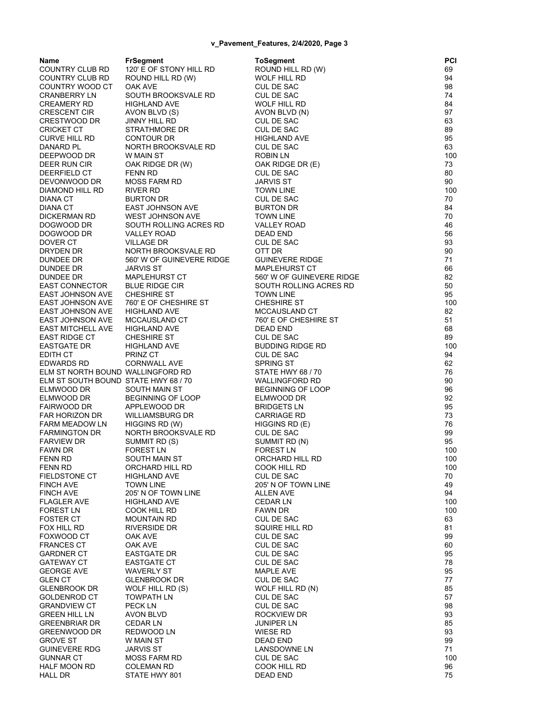**Name FrSegment ToSegment PCI** COUNTRY CLUB RD 120' E OF STONY HILL RD ROUND HILL RD (W) 69<br>COUNTRY CLUB RD ROUND HILL RD (W) WOLF HILL RD 94 COUNTRY CLUB RD ROUND HILL RD (W) WOLF HILL RD 94 COUNTRY WOOD CT OAK AVE CUL DE SAC 98 CRANBERRY LN SOUTH BROOKSVALE RD CUL DE SAC 74 CREAMERY RD HIGHLAND AVE WOLF HILL RD 84 CRESCENT CIR AVON BLVD (S) AVON BLVD (N) 97 CRESTWOOD DR CRICKET CT STRATHMORE DR CUL DE SAC 69 CURVE HILL RD CONTOUR DR HIGHLAND AVE 95 DANARD PL NORTH BROOKSVALE RD CUL DE SAC 63 DEEPWOOD DR W MAIN ST ROBIN LN 100 OAK RIDGE DR (W) DEERFIELD CT FENN RD CUL DE SAC 80 MOSS FARM RD DIAMOND HILL RD RIVER RD TOWN LINE 100 DIANA CT BURTON DR CUL DE SAC 70 DIANA CT EAST JOHNSON AVE BURTON DR 84 DICKERMAN RD WEST JOHNSON AVE TOWN LINE 70 DOGWOOD DR SOUTH ROLLING ACRES RD VALLEY ROAD 46 DOGWOOD DR VALLEY ROAD DEAD END 56 DOVER CT VILLAGE DR CUL DE SAC 93 NORTH BROOKSVALE RD OTT DR 30 DUNDEE DR 660' W OF GUINEVERE RIDGE GUINEVERE RIDGE DUNDEE DR JARVIS ST MAPLEHURST CT 66 DUNDEE DR MAPLEHURST CT 560' W OF GUINEVERE RIDGE 82 EAST CONNECTOR BLUE RIDGE CIR SOUTH ROLLING ACRES RD EAST JOHNSON AVE CHESHIRE ST TOWN LINE 95 EAST JOHNSON AVE 760' E OF CHESHIRE ST CHESHIRE ST 100 EAST JOHNSON AVE EAST JOHNSON AVE MCCAUSLAND CT 760' E OF CHESHIRE ST 51 EAST MITCHELL AVE HIGHLAND AVE DEAD END 68 EAST RIDGE CT CHESHIRE ST CUL DE SAC CUL DE SAC EASTGATE DR HIGHLAND AVE BUDDING RIDGE RD 100 EDITH CT PRINZ CT CUL DE SAC 94 EDWARDS RD CORNWALL AVE SPRING ST 62 ELM ST NORTH BOUND WALLINGFORD RD STATE HWY 68 / 70<br>ELM ST SOUTH BOUND STATE HWY 68 / 70 WALLINGFORD RD ELM ST SOUTH BOUND STATE HWY 68 / 70 WALLINGFORD RD 90 ELMWOOD DR SOUTH MAIN ST BEGINNING OF LOOP 96 ELMWOOD DR BEGINNING OF LOOP ELMWOOD DR 92 FAIRWOOD DR APPLEWOOD DR BRIDGETS LN 95 FAR HORIZON DR GARRIAGE RD 23 FARM MEADOW LN HIGGINS RD (W) HIGGINS RD (E) FARM MEADOW LN 76 FARMINGTON DR NORTH BROOKSVALE RD CUL DE SAC 99 FARVIEW DR SUMMIT RD (S) SUMMIT RD (N) SUMMIT RD (N) 95 FAWN DR FOREST LN FOREST LN 100 FENN RD SOUTH MAIN ST CRCHARD HILL RD FENN RD ORCHARD HILL RD COOK HILL RD 100 FIELDSTONE CT HIGHLAND AVE FINCH AVE TOWN LINE 205' N OF TOWN LINE 49 FINCH AVE 205' N OF TOWN LINE ALLEN AVE 94 FLAGLER AVE HIGHLAND AVE CEDAR LN 100 COOK HILL RD FOSTER CT MOUNTAIN RD CUL DE SAC 63 FOX HILL RD RIVERSIDE DR SQUIRE HILL RD 81 FOXWOOD CT OAK AVE CUL DE SAC 99 FRANCES CT OAK AVE CUL DE SAC 60 GARDNER CT EASTGATE DR CUL DE SAC 95 GATEWAY CT EASTGATE CT CUL DE SAC 78 GEORGE AVE WAVERLY ST MAPLE AVE 95 GLEN CT GLENBROOK DR CUL DE SAC 60 COLORES 27 GLENBROOK DR WOLF HILL RD (S) WOLF HILL RD (N) 85 GOLDENROD CT TOWPATH LN CUL DE SAC 60 UNDER SAC GRANDVIEW CT PECK LN CUL DE SAC 98 GREEN HILL LN AVON BLVD ROCKVIEW DR 93 GREENBRIAR DR CEDAR LN JUNIPER LN 85 GREENWOOD DR GROVE ST W MAIN ST DEAD END 99 GUINEVERE RDG JARVIS ST LANSDOWNE LN 71 GUNNAR CT MOSS FARM RD CUL DE SAC 600 MB CUL DE SAC 100 HALF MOON RD COLEMAN RD COOK HILL RD 96 HALL DR STATE HWY 801 DEAD END 75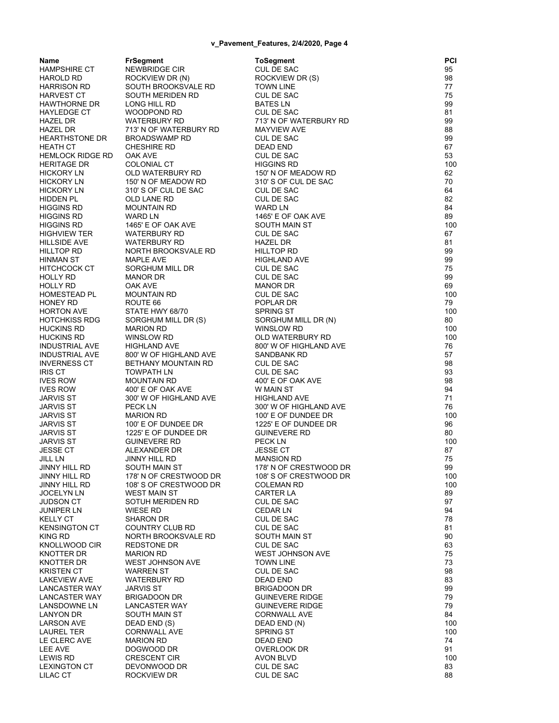| Name                     | <b>FrSegment</b>                    | <b>ToSegment</b>                     | PCI       |
|--------------------------|-------------------------------------|--------------------------------------|-----------|
| HAMPSHIRE CT             | NEWBRIDGE CIR                       | <b>CUL DE SAC</b>                    | 95        |
| HAROLD RD                | ROCKVIEW DR (N)                     | ROCKVIEW DR (S)                      | 98        |
| HARRISON RD              | SOUTH BROOKSVALE RD                 | <b>TOWN LINE</b>                     | 77        |
| HARVEST CT               | SOUTH MERIDEN RD                    | CUL DE SAC                           | 75        |
| HAWTHORNE DR             | LONG HILL RD                        | <b>BATES LN</b>                      | 99        |
| HAYLEDGE CT              | WOODPOND RD                         | <b>CUL DE SAC</b>                    | 81        |
| HAZEL DR                 | <b>WATERBURY RD</b>                 | 713' N OF WATERBURY RD               | 99        |
| HAZEL DR                 | 713' N OF WATERBURY RD              | <b>MAYVIEW AVE</b>                   | 88        |
| HEARTHSTONE DR           | <b>BROADSWAMP RD</b>                | CUL DE SAC                           | 99        |
| HEATH CT                 | <b>CHESHIRE RD</b>                  | DEAD END                             | 67        |
| HEMLOCK RIDGE RD         | OAK AVE                             | <b>CUL DE SAC</b>                    | 53        |
| <b>HERITAGE DR</b>       | <b>COLONIAL CT</b>                  | <b>HIGGINS RD</b>                    | 100       |
| HICKORY LN               | OLD WATERBURY RD                    | 150' N OF MEADOW RD                  | 62        |
| <b>HICKORY LN</b>        | 150' N OF MEADOW RD                 | 310'S OF CUL DE SAC                  | 70        |
| HICKORY LN               | 310'S OF CUL DE SAC                 | <b>CUL DE SAC</b>                    | 64        |
| HIDDEN PL                | OLD LANE RD                         | CUL DE SAC                           | 82        |
| HIGGINS RD               | <b>MOUNTAIN RD</b>                  | <b>WARD LN</b>                       | 84        |
| HIGGINS RD               | <b>WARD LN</b>                      | 1465' E OF OAK AVE                   | 89        |
| HIGGINS RD               | 1465' E OF OAK AVE                  | SOUTH MAIN ST                        | 100       |
| HIGHVIEW TER             | <b>WATERBURY RD</b>                 | CUL DE SAC                           | 67        |
| HILLSIDE AVE             | <b>WATERBURY RD</b>                 | <b>HAZEL DR</b>                      | 81        |
| HILLTOP RD               | NORTH BROOKSVALE RD                 | <b>HILLTOP RD</b>                    | 99        |
| HINMAN ST                | <b>MAPLE AVE</b>                    | <b>HIGHLAND AVE</b>                  | 99        |
| HITCHCOCK CT             | SORGHUM MILL DR                     | <b>CUL DE SAC</b>                    | 75        |
| HOLLY RD                 | <b>MANOR DR</b>                     | CUL DE SAC                           | 99        |
| HOLLY RD<br>HOMESTEAD PL | OAK AVE                             | MANOR DR                             | 69<br>100 |
| HONEY RD                 | <b>MOUNTAIN RD</b><br>ROUTE 66      | CUL DE SAC<br>POPLAR DR              | 79        |
| HORTON AVE               | STATE HWY 68/70                     | <b>SPRING ST</b>                     | 100       |
| HOTCHKISS RDG            | SORGHUM MILL DR (S)                 | SORGHUM MILL DR (N)                  | 80        |
| HUCKINS RD               | <b>MARION RD</b>                    | <b>WINSLOW RD</b>                    | 100       |
| HUCKINS RD               | WINSLOW RD                          | OLD WATERBURY RD                     | 100       |
| INDUSTRIAL AVE           | <b>HIGHLAND AVE</b>                 | 800' W OF HIGHLAND AVE               | 76        |
| <b>INDUSTRIAL AVE</b>    | 800' W OF HIGHLAND AVE              | SANDBANK RD                          | 57        |
| INVERNESS CT             | <b>BETHANY MOUNTAIN RD</b>          | CUL DE SAC                           | 98        |
| IRIS CT                  | <b>TOWPATH LN</b>                   | CUL DE SAC                           | 93        |
| IVES ROW                 | <b>MOUNTAIN RD</b>                  | 400' E OF OAK AVE                    | 98        |
| <b>IVES ROW</b>          | 400' E OF OAK AVE                   | W MAIN ST                            | 94        |
| JARVIS ST                | 300' W OF HIGHLAND AVE              | <b>HIGHLAND AVE</b>                  | 71        |
| JARVIS ST                | <b>PECKLN</b>                       | 300' W OF HIGHLAND AVE               | 76        |
| JARVIS ST                | <b>MARION RD</b>                    | 100' E OF DUNDEE DR                  | 100       |
| <b>JARVIS ST</b>         | 100' E OF DUNDEE DR                 | 1225' E OF DUNDEE DR                 | 96        |
| JARVIS ST                | 1225' E OF DUNDEE DR                | <b>GUINEVERE RD</b>                  | 80        |
| JARVIS ST                | <b>GUINEVERE RD</b>                 | <b>PECK LN</b>                       | 100       |
| JESSE CT                 | ALEXANDER DR                        | <b>JESSE CT</b>                      | 87        |
| JILL LN                  | JINNY HILL RD                       | <b>MANSION RD</b>                    | 75        |
| JINNY HILL RD            | SOUTH MAIN ST                       | 178' N OF CRESTWOOD DR               | 99        |
| JINNY HILL RD            | 178' N OF CRESTWOOD DR              | 108'S OF CRESTWOOD DR                | 100       |
| JINNY HILL RD            | 108'S OF CRESTWOOD DR               | <b>COLEMAN RD</b>                    | 100       |
| <b>JOCELYN LN</b>        | <b>WEST MAIN ST</b>                 | CARTER LA                            | 89        |
| JUDSON CT<br>JUNIPER LN  | SOTUH MERIDEN RD<br><b>WIESE RD</b> | <b>CUL DE SAC</b><br><b>CEDAR LN</b> | 97<br>94  |
| KELLY CT                 | <b>SHARON DR</b>                    | <b>CUL DE SAC</b>                    | 78        |
| <b>KENSINGTON CT</b>     | COUNTRY CLUB RD                     | CUL DE SAC                           | 81        |
| KING RD                  | <b>NORTH BROOKSVALE RD</b>          | SOUTH MAIN ST                        | 90        |
| KNOLLWOOD CIR            | <b>REDSTONE DR</b>                  | CUL DE SAC                           | 63        |
| KNOTTER DR               | <b>MARION RD</b>                    | <b>WEST JOHNSON AVE</b>              | 75        |
| KNOTTER DR               | <b>WEST JOHNSON AVE</b>             | <b>TOWN LINE</b>                     | 73        |
| KRISTEN CT               | <b>WARREN ST</b>                    | CUL DE SAC                           | 98        |
| <b>LAKEVIEW AVE</b>      | <b>WATERBURY RD</b>                 | <b>DEAD END</b>                      | 83        |
| <b>LANCASTER WAY</b>     | <b>JARVIS ST</b>                    | <b>BRIGADOON DR</b>                  | 99        |
| <b>LANCASTER WAY</b>     | <b>BRIGADOON DR</b>                 | <b>GUINEVERE RIDGE</b>               | 79        |
| LANSDOWNE LN             | <b>LANCASTER WAY</b>                | <b>GUINEVERE RIDGE</b>               | 79        |
| <b>LANYON DR</b>         | SOUTH MAIN ST                       | <b>CORNWALL AVE</b>                  | 84        |
| LARSON AVE               | DEAD END (S)                        | DEAD END (N)                         | 100       |
| LAUREL TER               | <b>CORNWALL AVE</b>                 | <b>SPRING ST</b>                     | 100       |
| LE CLERC AVE             | <b>MARION RD</b>                    | <b>DEAD END</b>                      | 74        |
| LEE AVE                  | DOGWOOD DR                          | <b>OVERLOOK DR</b>                   | 91        |
| LEWIS RD                 | <b>CRESCENT CIR</b>                 | <b>AVON BLVD</b>                     | 100       |
| <b>LEXINGTON CT</b>      | DEVONWOOD DR                        | CUL DE SAC                           | 83        |
| LILAC CT                 | ROCKVIEW DR                         | CUL DE SAC                           | 88        |
|                          |                                     |                                      |           |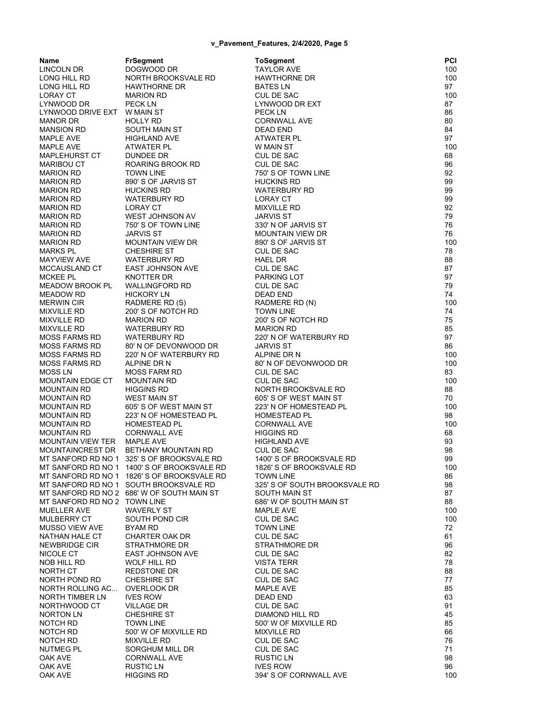| Name                         | <b>FrSegment</b>                           | <b>ToSegment</b>              | PCI |
|------------------------------|--------------------------------------------|-------------------------------|-----|
| LINCOLN DR                   | DOGWOOD DR                                 | <b>TAYLOR AVE</b>             | 100 |
| LONG HILL RD                 | NORTH BROOKSVALE RD                        | <b>HAWTHORNE DR</b>           | 100 |
| LONG HILL RD                 | <b>HAWTHORNE DR</b>                        | <b>BATES LN</b>               | 97  |
| <b>LORAY CT</b>              | <b>MARION RD</b>                           | <b>CUL DE SAC</b>             | 100 |
| LYNWOOD DR                   | <b>PECK LN</b>                             | LYNWOOD DR EXT                | 87  |
| LYNWOOD DRIVE EXT W MAIN ST  |                                            | <b>PECKLN</b>                 | 86  |
| <b>MANOR DR</b>              | HOLLY RD                                   | <b>CORNWALL AVE</b>           | 80  |
| <b>MANSION RD</b>            | SOUTH MAIN ST                              | <b>DEAD END</b>               | 84  |
| MAPLE AVE                    | HIGHLAND AVE                               | ATWATER PL                    | 97  |
| <b>MAPLE AVE</b>             | ATWATER PL                                 | W MAIN ST                     | 100 |
| <b>MAPLEHURST CT</b>         | DUNDEE DR                                  | <b>CUL DE SAC</b>             | 68  |
| <b>MARIBOU CT</b>            | <b>ROARING BROOK RD</b>                    | <b>CUL DE SAC</b>             | 96  |
| <b>MARION RD</b>             | <b>TOWN LINE</b>                           | 750' S OF TOWN LINE           | 92  |
| <b>MARION RD</b>             | 890' S OF JARVIS ST                        | <b>HUCKINS RD</b>             | 99  |
| <b>MARION RD</b>             | <b>HUCKINS RD</b>                          | <b>WATERBURY RD</b>           | 99  |
| <b>MARION RD</b>             | <b>WATERBURY RD</b>                        | <b>LORAY CT</b>               | 99  |
| <b>MARION RD</b>             | <b>LORAY CT</b>                            | <b>MIXVILLE RD</b>            | 92  |
| <b>MARION RD</b>             | WEST JOHNSON AV                            | <b>JARVIS ST</b>              | 79  |
| <b>MARION RD</b>             | 750' S OF TOWN LINE                        | 330' N OF JARVIS ST           | 76  |
| <b>MARION RD</b>             | <b>JARVIS ST</b>                           | <b>MOUNTAIN VIEW DR</b>       | 76  |
| <b>MARION RD</b>             | <b>MOUNTAIN VIEW DR</b>                    | 890' S OF JARVIS ST           | 100 |
| <b>MARKS PL</b>              | <b>CHESHIRE ST</b>                         | <b>CUL DE SAC</b>             | 78  |
| <b>MAYVIEW AVE</b>           | <b>WATERBURY RD</b>                        | <b>HAEL DR</b>                | 88  |
| <b>MCCAUSLAND CT</b>         | <b>EAST JOHNSON AVE</b>                    | <b>CUL DE SAC</b>             | 87  |
| <b>MCKEE PL</b>              | KNOTTER DR                                 | PARKING LOT                   | 97  |
| <b>MEADOW BROOK PL</b>       | <b>WALLINGFORD RD</b>                      | CUL DE SAC                    | 79  |
| <b>MEADOW RD</b>             | <b>HICKORY LN</b>                          | <b>DEAD END</b>               | 74  |
| <b>MERWIN CIR</b>            | RADMERE RD (S)                             | RADMERE RD (N)                | 100 |
| <b>MIXVILLE RD</b>           | 200'S OF NOTCH RD                          | <b>TOWN LINE</b>              | 74  |
| <b>MIXVILLE RD</b>           | <b>MARION RD</b>                           | 200'S OF NOTCH RD             | 75  |
| <b>MIXVILLE RD</b>           | <b>WATERBURY RD</b>                        | <b>MARION RD</b>              | 85  |
| <b>MOSS FARMS RD</b>         | <b>WATERBURY RD</b>                        | 220' N OF WATERBURY RD        | 97  |
| <b>MOSS FARMS RD</b>         | 80' N OF DEVONWOOD DR                      | <b>JARVIS ST</b>              | 86  |
| <b>MOSS FARMS RD</b>         | 220' N OF WATERBURY RD                     | ALPINE DR N                   | 100 |
| <b>MOSS FARMS RD</b>         | ALPINE DR N                                | 80' N OF DEVONWOOD DR         | 100 |
| <b>MOSS LN</b>               | <b>MOSS FARM RD</b>                        | <b>CUL DE SAC</b>             | 83  |
| <b>MOUNTAIN EDGE CT</b>      | <b>MOUNTAIN RD</b>                         | <b>CUL DE SAC</b>             | 100 |
| <b>MOUNTAIN RD</b>           | <b>HIGGINS RD</b>                          | NORTH BROOKSVALE RD           | 88  |
| <b>MOUNTAIN RD</b>           | <b>WEST MAIN ST</b>                        | 605' S OF WEST MAIN ST        | 70  |
| <b>MOUNTAIN RD</b>           | 605' S OF WEST MAIN ST                     | 223' N OF HOMESTEAD PL        | 100 |
| <b>MOUNTAIN RD</b>           | 223' N OF HOMESTEAD PL                     | <b>HOMESTEAD PL</b>           | 98  |
| <b>MOUNTAIN RD</b>           | <b>HOMESTEAD PL</b>                        | <b>CORNWALL AVE</b>           | 100 |
| <b>MOUNTAIN RD</b>           | <b>CORNWALL AVE</b>                        | <b>HIGGINS RD</b>             | 68  |
| MOUNTAIN VIEW TER MAPLE AVE  |                                            | <b>HIGHLAND AVE</b>           | 93  |
| MOUNTAINCREST DR             | BETHANY MOUNTAIN RD                        | <b>CUL DE SAC</b>             | 98  |
|                              | MT SANFORD RD NO 1 325'S OF BROOKSVALE RD  | 1400'S OF BROOKSVALE RD       | 99  |
|                              | MT SANFORD RD NO 1 1400'S OF BROOKSVALE RD | 1826' S OF BROOKSVALE RD      | 100 |
|                              | MT SANFORD RD NO 1 1826'S OF BROOKSVALE RD | <b>TOWN LINE</b>              | 86  |
|                              | MT SANFORD RD NO 1 SOUTH BROOKSVALE RD     | 325' S OF SOUTH BROOKSVALE RD | 98  |
|                              | MT SANFORD RD NO 2 686' W OF SOUTH MAIN ST | SOUTH MAIN ST                 | 87  |
| MT SANFORD RD NO 2 TOWN LINE |                                            | 686' W OF SOUTH MAIN ST       | 88  |
| MUELLER AVE                  | <b>WAVERLY ST</b>                          | <b>MAPLE AVE</b>              | 100 |
| <b>MULBERRY CT</b>           | SOUTH POND CIR                             | <b>CUL DE SAC</b>             | 100 |
| <b>MUSSO VIEW AVE</b>        | BYAM RD                                    | <b>TOWN LINE</b>              | 72  |
| NATHAN HALE CT               | CHARTER OAK DR                             | <b>CUL DE SAC</b>             | 61  |
| NEWBRIDGE CIR                | <b>STRATHMORE DR</b>                       | <b>STRATHMORE DR</b>          | 96  |
| NICOLE CT                    | <b>EAST JOHNSON AVE</b>                    | <b>CUL DE SAC</b>             | 82  |
| NOB HILL RD                  | <b>WOLF HILL RD</b>                        | <b>VISTA TERR</b>             | 78  |
| NORTH CT                     | <b>REDSTONE DR</b>                         | CUL DE SAC                    | 88  |
| NORTH POND RD                | <b>CHESHIRE ST</b>                         | <b>CUL DE SAC</b>             | 77  |
| NORTH ROLLING AC             | <b>OVERLOOK DR</b>                         | <b>MAPLE AVE</b>              | 85  |
| NORTH TIMBER LN              | <b>IVES ROW</b>                            | DEAD END                      | 63  |
| NORTHWOOD CT                 | <b>VILLAGE DR</b>                          | CUL DE SAC                    | 91  |
| <b>NORTON LN</b>             | <b>CHESHIRE ST</b>                         | DIAMOND HILL RD               | 45  |
| NOTCH RD                     | <b>TOWN LINE</b>                           | 500' W OF MIXVILLE RD         | 85  |
| NOTCH RD                     | 500' W OF MIXVILLE RD                      | <b>MIXVILLE RD</b>            | 66  |
| NOTCH RD                     | <b>MIXVILLE RD</b>                         | <b>CUL DE SAC</b>             | 76  |
| <b>NUTMEG PL</b>             | SORGHUM MILL DR                            | <b>CUL DE SAC</b>             | 71  |
| OAK AVE                      | <b>CORNWALL AVE</b>                        | <b>RUSTIC LN</b>              | 98  |
| OAK AVE                      | RUSTIC LN                                  | <b>IVES ROW</b>               | 96  |
| OAK AVE                      | <b>HIGGINS RD</b>                          | 394' S OF CORNWALL AVE        | 100 |
|                              |                                            |                               |     |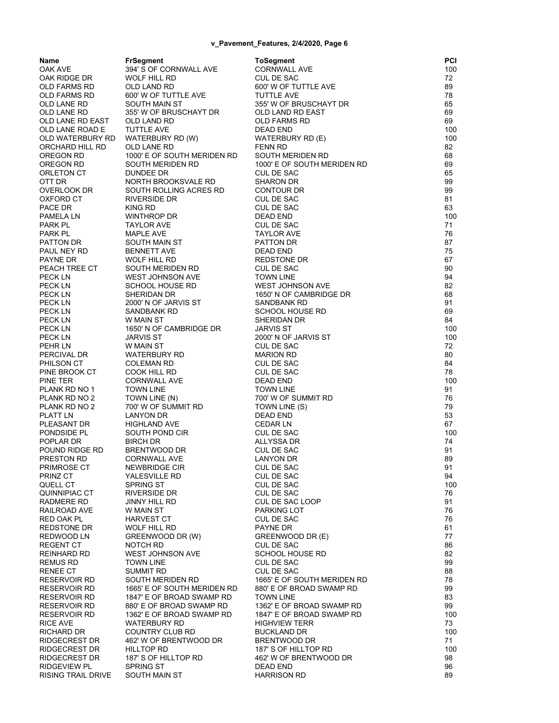| Name                        | <b>FrSegment</b>                       | <b>ToSegment</b>                                  | PCI       |
|-----------------------------|----------------------------------------|---------------------------------------------------|-----------|
| OAK AVE                     | 394' S OF CORNWALL AVE                 | <b>CORNWALL AVE</b>                               | 100       |
| OAK RIDGE DR                | WOLF HILL RD                           | <b>CUL DE SAC</b>                                 | 72        |
| OLD FARMS RD                | <b>OLD LAND RD</b>                     | 600' W OF TUTTLE AVE                              | 89        |
| OLD FARMS RD<br>OLD LANE RD | 600' W OF TUTTLE AVE<br>SOUTH MAIN ST  | <b>TUTTLE AVE</b><br>355' W OF BRUSCHAYT DR       | 78<br>65  |
| OLD LANE RD                 | 355' W OF BRUSCHAYT DR                 | OLD LAND RD EAST                                  | 69        |
| OLD LANE RD EAST            | OLD LAND RD                            | <b>OLD FARMS RD</b>                               | 69        |
| OLD LANE ROAD E             | TUTTLE AVE                             | <b>DEAD END</b>                                   | 100       |
| OLD WATERBURY RD            | WATERBURY RD (W)                       | WATERBURY RD (E)                                  | 100       |
| ORCHARD HILL RD             | OLD LANE RD                            | <b>FENN RD</b>                                    | 82        |
| OREGON RD                   | 1000' E OF SOUTH MERIDEN RD            | SOUTH MERIDEN RD                                  | 68        |
| OREGON RD                   | SOUTH MERIDEN RD                       | 1000' E OF SOUTH MERIDEN RD                       | 69        |
| ORLETON CT                  | DUNDEE DR                              | CUL DE SAC                                        | 65        |
| OTT DR                      | NORTH BROOKSVALE RD                    | <b>SHARON DR</b>                                  | 99        |
| OVERLOOK DR                 | SOUTH ROLLING ACRES RD                 | CONTOUR DR                                        | 99        |
| OXFORD CT                   | RIVERSIDE DR                           | CUL DE SAC                                        | 81        |
| PACE DR                     | <b>KING RD</b>                         | <b>CUL DE SAC</b>                                 | 63        |
| PAMELA LN                   | WINTHROP DR                            | <b>DEAD END</b>                                   | 100       |
| PARK PL                     | <b>TAYLOR AVE</b>                      | CUL DE SAC                                        | 71        |
| PARK PL                     | MAPLE AVE                              | <b>TAYLOR AVE</b>                                 | 76        |
| PATTON DR                   | SOUTH MAIN ST                          | PATTON DR                                         | 87        |
| PAUL NEY RD                 | <b>BENNETT AVE</b>                     | <b>DEAD END</b>                                   | 75        |
| PAYNE DR<br>PEACH TREE CT   | <b>WOLF HILL RD</b>                    | REDSTONE DR                                       | 67        |
| PECK LN                     | SOUTH MERIDEN RD<br>WEST JOHNSON AVE   | <b>CUL DE SAC</b><br><b>TOWN LINE</b>             | 90<br>94  |
| PECK LN                     | SCHOOL HOUSE RD                        | <b>WEST JOHNSON AVE</b>                           | 82        |
| PECK LN                     | SHERIDAN DR                            | 1650' N OF CAMBRIDGE DR                           | 68        |
| PECK LN                     | 2000' N OF JARVIS ST                   | SANDBANK RD                                       | 91        |
| PECK LN                     | SANDBANK RD                            | <b>SCHOOL HOUSE RD</b>                            | 69        |
| PECK LN                     | W MAIN ST                              | SHERIDAN DR                                       | 84        |
| PECK LN                     | 1650' N OF CAMBRIDGE DR                | <b>JARVIS ST</b>                                  | 100       |
| PECK LN                     | <b>JARVIS ST</b>                       | 2000' N OF JARVIS ST                              | 100       |
| PEHR LN                     | W MAIN ST                              | <b>CUL DE SAC</b>                                 | 72        |
| PERCIVAL DR                 | WATERBURY RD                           | <b>MARION RD</b>                                  | 80        |
| PHILSON CT                  | <b>COLEMAN RD</b>                      | <b>CUL DE SAC</b>                                 | 84        |
| PINE BROOK CT               | COOK HILL RD                           | <b>CUL DE SAC</b>                                 | 78        |
| PINE TER                    | <b>CORNWALL AVE</b>                    | <b>DEAD END</b>                                   | 100       |
| PLANK RD NO 1               | <b>TOWN LINE</b>                       | <b>TOWN LINE</b>                                  | 91        |
| PLANK RD NO 2               | TOWN LINE (N)                          | 700' W OF SUMMIT RD                               | 76        |
| PLANK RD NO 2               | 700' W OF SUMMIT RD                    | TOWN LINE (S)                                     | 79        |
| PLATT LN                    | LANYON DR                              | DEAD END                                          | 53        |
| PLEASANT DR                 | <b>HIGHLAND AVE</b>                    | <b>CEDAR LN</b>                                   | 67        |
| PONDSIDE PL                 | SOUTH POND CIR                         | CUL DE SAC                                        | 100       |
| POPLAR DR                   | <b>BIRCH DR</b>                        | ALLYSSA DR                                        | 74        |
| POUND RIDGE RD              | BRENTWOOD DR                           | CUL DE SAC                                        | 91        |
| PRESTON RD<br>PRIMROSE CT   | <b>CORNWALL AVE</b><br>NEWBRIDGE CIR   | LANYON DR<br>CUL DE SAC                           | 89<br>91  |
| PRINZ CT                    | YALESVILLE RD                          | CUL DE SAC                                        | 94        |
| QUELL CT                    | <b>SPRING ST</b>                       | CUL DE SAC                                        | 100       |
| QUINNIPIAC CT               | RIVERSIDE DR                           | <b>CUL DE SAC</b>                                 | 76        |
| RADMERE RD                  | JINNY HILL RD                          | CUL DE SAC LOOP                                   | 91        |
| RAILROAD AVE                | W MAIN ST                              | PARKING LOT                                       | 76        |
| RED OAK PL                  | HARVEST CT                             | <b>CUL DE SAC</b>                                 | 76        |
| REDSTONE DR                 | WOLF HILL RD                           | PAYNE DR                                          | 61        |
| REDWOOD LN                  | GREENWOOD DR (W)                       | GREENWOOD DR (E)                                  | 77        |
| REGENT CT                   | NOTCH RD                               | CUL DE SAC                                        | 86        |
| REINHARD RD                 | <b>WEST JOHNSON AVE</b>                | <b>SCHOOL HOUSE RD</b>                            | 82        |
| REMUS RD                    | <b>TOWN LINE</b>                       | <b>CUL DE SAC</b>                                 | 99        |
| RENEE CT                    | SUMMIT RD                              | CUL DE SAC                                        | 88        |
| RESERVOIR RD                | SOUTH MERIDEN RD                       | 1665' E OF SOUTH MERIDEN RD                       | 78        |
| RESERVOIR RD                | 1665' E OF SOUTH MERIDEN RD            | 880' E OF BROAD SWAMP RD                          | 99        |
| RESERVOIR RD                | 1847' E OF BROAD SWAMP RD              | <b>TOWN LINE</b>                                  | 83        |
| RESERVOIR RD                | 880' E OF BROAD SWAMP RD               | 1362' E OF BROAD SWAMP RD                         | 99        |
| RESERVOIR RD<br>RICE AVE    | 1362' E OF BROAD SWAMP RD              | 1847' E OF BROAD SWAMP RD<br><b>HIGHVIEW TERR</b> | 100<br>73 |
| RICHARD DR                  | <b>WATERBURY RD</b><br>COUNTRY CLUB RD | <b>BUCKLAND DR</b>                                | 100       |
| RIDGECREST DR               | 462' W OF BRENTWOOD DR                 | <b>BRENTWOOD DR</b>                               | 71        |
| RIDGECREST DR               | HILLTOP RD                             | 187' S OF HILLTOP RD                              | 100       |
| RIDGECREST DR               | 187' S OF HILLTOP RD                   | 462' W OF BRENTWOOD DR                            | 98        |
| RIDGEVIEW PL                | <b>SPRING ST</b>                       | DEAD END                                          | 96        |
| RISING TRAIL DRIVE          | SOUTH MAIN ST                          | <b>HARRISON RD</b>                                | 89        |
|                             |                                        |                                                   |           |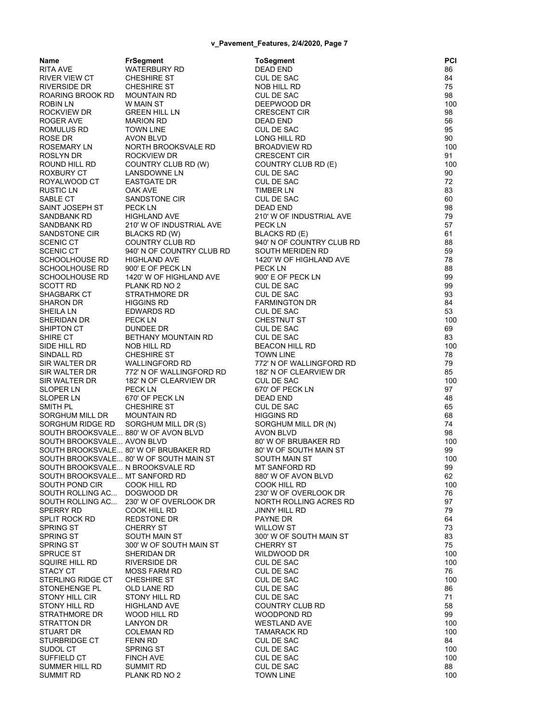**Name FrSegment ToSegment PCI** RITA AVE WATERBURY RD DEAD END 86 RIVER VIEW CT CHESHIRE ST CUL DE SAC 84 RIVERSIDE DR CHESHIRE ST NOB HILL RD 75 ROARING BROOK RD MOUNTAIN RD CUL DE SAC 98 ROBIN LN WINAIN ST DEEPWOOD DR 100 ROCKVIEW DR GREEN HILL LN CRESCENT CIR 98 ROGER AVE MARION RD DEAD END 56 ROMULUS RD TOWN LINE CUL DE SAC CUL DE SAC 95 ROSE DR AVON BLVD LONG HILL RD 90 ROSEMARY LN NORTH BROOKSVALE RD BROADVIEW RD 100 ROSLYN DR ROCKVIEW DR CRESCENT CIR 91 COUNTRY CLUB RD (W) ROXBURY CT LANSDOWNE LN CUL DE SAC 90<br>ROYALWOOD CT EASTGATE DR CUL DE SAC 72 ROYALWOOD CT EASTGATE DR CUL DE SAC RUSTIC LN OAK AVE TIMBER LN 83 SABLE CT SANDSTONE CIR CUL DE SAC 60 SAINT JOSEPH ST PECK LN DEAD END DEAD END 98 SANDBANK RD HIGHLAND AVE 210' W OF INDUSTRIAL AVE 79 SANDBANK RD 210' W OF INDUSTRIAL AVE PECK LN 57 SANDSTONE CIR BLACKS RD (W) BLACKS RD (E) 61 SCENIC CT COUNTRY CLUB RD 940' N OF COUNTRY CLUB RD 88 SCENIC CT 940' N OF COUNTRY CLUB RD SOUTH MERIDEN RD 59 SCHOOLHOUSE RD HIGHLAND AVE 1420' W OF HIGHLAND AVE 78 SCHOOLHOUSE RD 900' E OF PECK LN PECK LN PECK LN SCHOOLHOUSE RD 1420' W OF HIGHLAND AVE 900' E OF PECK LN 99 SCOTT RD PLANK RD NO 2 CUL DE SAC 99 SHAGBARK CT STRATHMORE DR CUL DE SAC 93 SHARON DR HIGGINS RD FARMINGTON DR 84 EDWARDS RD SHERIDAN DR PECK LN CHESTNUT ST 200 SHIPTON CT DUNDEE DR CUL DE SAC 69 SHIRE CT BETHANY MOUNTAIN RD CUL DE SAC 63 SIDE HILL RD NOB HILL RD BEACON HILL RD 100 SINDALL RD CHESHIRE ST TOWN LINE 78 SIR WALTER DR WALLINGFORD RD 772' N OF WALLINGFORD RD 79 SIR WALTER DR 772' N OF WALLINGFORD RD 182' N OF CLEARVIEW DR 85 SIR WALTER DR 182' N OF CLEARVIEW DR CUL DE SAC 100 SLOPER LN PECK LN 670' OF PECK LN 97 670' OF PECK LN 670' OF ALL DEAD END 48 SMITH PL CHESHIRE ST CUL DE SAC 65 SORGHUM MILL DR MOUNTAIN RD HIGGINS RD 68 SORGHUM RIDGE RD SORGHUM MILL DR (S) SORGHUM MILL DR (N) 374 SOUTH BROOKSVALE... 880' W OF AVON BLVD AVON BLVD AVON BLVD 98 SOUTH BROOKSVALE... AVON BLVD 80' W OF BRUBAKER RD 300' 100 SOUTH BROOKSVALE... 80' W OF BRUBAKER RD 80' W OF SOUTH MAIN ST 99 SOUTH BROOKSVALE... 80' W OF SOUTH MAIN ST SOUTH BROOKSVALE... N BROOKSVALE RD MT SANFORD RD 99 SOUTH BROOKSVALE... MT SANFORD RD 880' W OF AVON BLVD 82 SOUTH POND CIR COOK HILL RD COOK HILL RD COOK HILL RD 100 SOUTH ROLLING AC... DOGWOOD DR 230' W OF OVERLOOK DR 76 SOUTH ROLLING ACRES RD... 230<br>- 230<br>- 230' W OF ONE ON NORTH ROLLING AND ROLLING AND ROLLING ASSAULT SPERRY RD COOK HILL RD SPLIT ROCK RD REDSTONE DR PAYNE DR PAYNE DR SPRING ST CHERRY ST WILLOW ST 73 SPRING ST SOUTH MAIN ST 300' W OF SOUTH MAIN ST 33 SPRING ST 300' W OF SOUTH MAIN ST CHERRY ST CHERRY ST 35 SPRUCE ST SHERIDAN DR WILDWOOD DR WILDWOOD DR 100 SQUIRE HILL RD RIVERSIDE DR CUL DE SAC 100 STACY CT MOSS FARM RD CUL DE SAC 76 STERLING RIDGE CT CHESHIRE ST CUL DE SAC 100 STONEHENGE PLACE OLD LANE RD CUL DE SAC CUL DE SAC 86 STONY HILL CIR STONY HILL RD CUL DE SAC 71 HIGHLAND AVE COUNTRY CLUB RD 58 STRATHMORE DR WOOD HILL RD WOODPOND RD 99 STRATTON DR LANYON DR WESTLAND AVE 100 TAMARACK RD STURBRIDGE CT FENN RD CUL DE SAC 84 SUDOL CT SPRING ST CUL DE SAC 100 SUFFIELD CT FINCH AVE CUL DE SAC CUL DE SAC 100 SUMMER HILL RD SUMMIT RD CUL DE SAC 88 SUMMIT RD PLANK RD NO 2 TOWN LINE TOWN LINE 100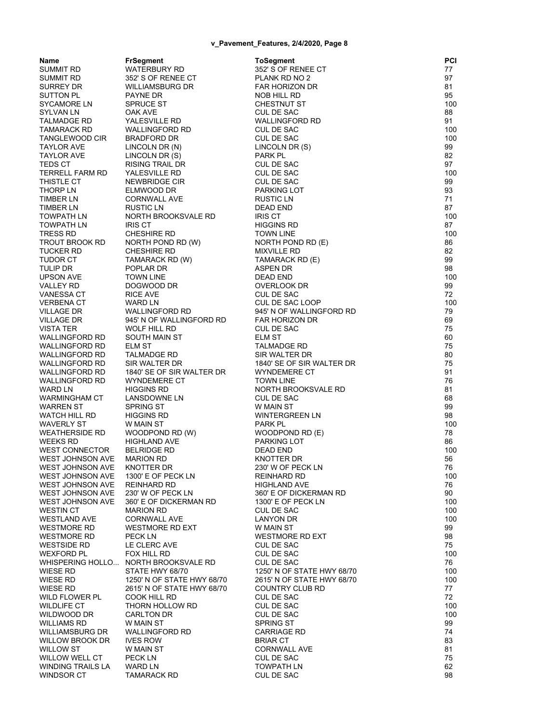| Name                         | <b>FrSegment</b>                         | <b>ToSegment</b>                         | PCI       |
|------------------------------|------------------------------------------|------------------------------------------|-----------|
| SUMMIT RD                    | WATERBURY RD                             | 352' S OF RENEE CT                       | 77        |
| SUMMIT RD                    | 352' S OF RENEE CT                       | PLANK RD NO 2                            | 97        |
| SURREY DR                    | WILLIAMSBURG DR                          | FAR HORIZON DR                           | 81        |
| SUTTON PL                    | PAYNE DR                                 | NOB HILL RD                              | 95        |
| SYCAMORE LN                  | <b>SPRUCE ST</b>                         | <b>CHESTNUT ST</b>                       | 100       |
| SYLVAN LN                    | OAK AVE                                  | CUL DE SAC                               | 88        |
| TALMADGE RD                  | YALESVILLE RD                            | <b>WALLINGFORD RD</b>                    | 91        |
| TAMARACK RD                  | WALLINGFORD RD                           | CUL DE SAC                               | 100       |
| TANGLEWOOD CIR               | <b>BRADFORD DR</b>                       | <b>CUL DE SAC</b>                        | 100       |
| TAYLOR AVE                   | LINCOLN DR (N)                           | LINCOLN DR (S)<br>PARK PL                | 99        |
| TAYLOR AVE<br>TEDS CT        | LINCOLN DR (S)<br><b>RISING TRAIL DR</b> | <b>CUL DE SAC</b>                        | 82<br>97  |
| <b>TERRELL FARM RD</b>       | YALESVILLE RD                            | CUL DE SAC                               | 100       |
| THISTLE CT                   | NEWBRIDGE CIR                            | <b>CUL DE SAC</b>                        | 99        |
| THORP LN                     | ELMWOOD DR                               | PARKING LOT                              | 93        |
| TIMBER LN                    | <b>CORNWALL AVE</b>                      | RUSTIC LN                                | 71        |
| TIMBER LN                    | <b>RUSTIC LN</b>                         | DEAD END                                 | 87        |
| TOWPATH LN                   | NORTH BROOKSVALE RD                      | <b>IRIS CT</b>                           | 100       |
| TOWPATH LN                   | <b>IRIS CT</b>                           | <b>HIGGINS RD</b>                        | 87        |
| TRESS RD                     | <b>CHESHIRE RD</b>                       | <b>TOWN LINE</b>                         | 100       |
| TROUT BROOK RD               | NORTH POND RD (W)                        | NORTH POND RD (E)                        | 86        |
| TUCKER RD                    | CHESHIRE RD                              | <b>MIXVILLE RD</b>                       | 82        |
| TUDOR CT                     | TAMARACK RD (W)                          | TAMARACK RD (E)                          | 99        |
| tulip Dr                     | POPLAR DR                                | ASPEN DR                                 | 98        |
| UPSON AVE                    | <b>TOWN LINE</b>                         | <b>DEAD END</b>                          | 100       |
| VALLEY RD                    | DOGWOOD DR                               | OVERLOOK DR                              | 99        |
| VANESSA CT                   | <b>RICE AVE</b>                          | <b>CUL DE SAC</b>                        | 72        |
| VERBENA CT                   | WARD LN                                  | CUL DE SAC LOOP                          | 100       |
| VILLAGE DR                   | <b>WALLINGFORD RD</b>                    | 945' N OF WALLINGFORD RD                 | 79        |
| <b>VILLAGE DR</b>            | 945' N OF WALLINGFORD RD                 | <b>FAR HORIZON DR</b>                    | 69        |
| VISTA TER                    | WOLF HILL RD                             | <b>CUL DE SAC</b>                        | 75        |
| WALLINGFORD RD               | SOUTH MAIN ST                            | <b>ELM ST</b>                            | 60        |
| WALLINGFORD RD               | <b>ELM ST</b>                            | <b>TALMADGE RD</b>                       | 75        |
| WALLINGFORD RD               | TALMADGE RD                              | SIR WALTER DR                            | 80        |
| WALLINGFORD RD               | SIR WALTER DR                            | 1840' SE OF SIR WALTER DR                | 75        |
| WALLINGFORD RD               | 1840' SE OF SIR WALTER DR                | WYNDEMERE CT                             | 91        |
| WALLINGFORD RD               | <b>WYNDEMERE CT</b>                      | <b>TOWN LINE</b>                         | 76        |
| WARD LN                      | <b>HIGGINS RD</b>                        | NORTH BROOKSVALE RD                      | 81        |
| WARMINGHAM CT                | LANSDOWNE LN                             | CUL DE SAC                               | 68        |
| WARREN ST                    | SPRING ST                                | W MAIN ST                                | 99        |
| WATCH HILL RD                | <b>HIGGINS RD</b>                        | <b>WINTERGREEN LN</b><br>PARK PL         | 98        |
| WAVERLY ST<br>WEATHERSIDE RD | W MAIN ST                                | WOODPOND RD (E)                          | 100<br>78 |
| WEEKS RD                     | WOODPOND RD (W)<br><b>HIGHLAND AVE</b>   | PARKING LOT                              | 86        |
| WEST CONNECTOR               | <b>BELRIDGE RD</b>                       | DEAD END                                 | 100       |
| WEST JOHNSON AVE             | <b>MARION RD</b>                         | KNOTTER DR                               | 56        |
| WEST JOHNSON AVE KNOTTER DR  |                                          | 230' W OF PECK LN                        | 76        |
| WEST JOHNSON AVE             | 1300' E OF PECK LN                       | <b>REINHARD RD</b>                       | 100       |
| WEST JOHNSON AVE             | <b>REINHARD RD</b>                       | <b>HIGHLAND AVE</b>                      | 76        |
| WEST JOHNSON AVE             | 230' W OF PECK LN                        | 360' E OF DICKERMAN RD                   | 90        |
| WEST JOHNSON AVE             | 360' E OF DICKERMAN RD                   | 1300' E OF PECK LN                       | 100       |
| WESTIN CT                    | <b>MARION RD</b>                         | CUL DE SAC                               | 100       |
| WESTLAND AVE                 | <b>CORNWALL AVE</b>                      | <b>LANYON DR</b>                         | 100       |
| WESTMORE RD                  | <b>WESTMORE RD EXT</b>                   | W MAIN ST                                | 99        |
| WESTMORE RD                  | PECK LN                                  | <b>WESTMORE RD EXT</b>                   | 98        |
| WESTSIDE RD                  | LE CLERC AVE                             | CUL DE SAC                               | 75        |
| WEXFORD PL                   | FOX HILL RD                              | <b>CUL DE SAC</b>                        | 100       |
|                              | WHISPERING HOLLO NORTH BROOKSVALE RD     | CUL DE SAC                               | 76        |
| WIESE RD                     | STATE HWY 68/70                          | 1250' N OF STATE HWY 68/70               | 100       |
| WIESE RD                     | 1250' N OF STATE HWY 68/70               | 2615' N OF STATE HWY 68/70               | 100       |
| WIESE RD                     | 2615' N OF STATE HWY 68/70               | COUNTRY CLUB RD                          | 77        |
| WILD FLOWER PL               | COOK HILL RD                             | CUL DE SAC                               | 72        |
| WILDLIFE CT                  | THORN HOLLOW RD                          | CUL DE SAC                               | 100       |
| WILDWOOD DR                  | <b>CARLTON DR</b>                        | <b>CUL DE SAC</b>                        | 100       |
| WILLIAMS RD                  | W MAIN ST                                | <b>SPRING ST</b>                         | 99        |
| WILLIAMSBURG DR              | <b>WALLINGFORD RD</b>                    | <b>CARRIAGE RD</b>                       | 74        |
| WILLOW BROOK DR              | <b>IVES ROW</b>                          | <b>BRIAR CT</b>                          | 83        |
| WILLOW ST<br>WILLOW WELL CT  | W MAIN ST<br>PECK LN                     | <b>CORNWALL AVE</b><br><b>CUL DE SAC</b> | 81<br>75  |
| WINDING TRAILS LA            | WARD LN                                  | <b>TOWPATH LN</b>                        | 62        |
| WINDSOR CT                   | <b>TAMARACK RD</b>                       | CUL DE SAC                               | 98        |
|                              |                                          |                                          |           |